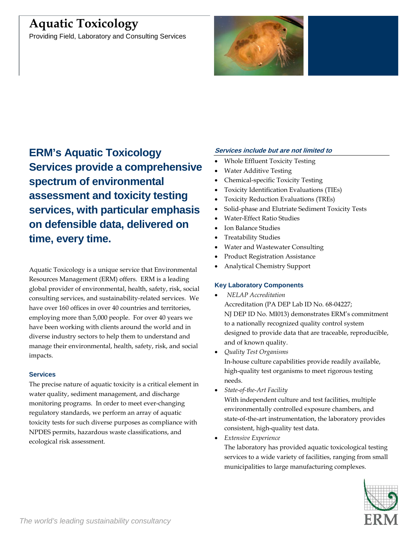# **Aquatic Toxicology**

Providing Field, Laboratory and Consulting Services



**ERM's Aquatic Toxicology Services provide a comprehensive spectrum of environmental assessment and toxicity testing services, with particular emphasis on defensible data, delivered on time, every time.**

Aquatic Toxicology is a unique service that Environmental Resources Management (ERM) offers. ERM is a leading global provider of environmental, health, safety, risk, social consulting services, and sustainability-related services. We have over 160 offices in over 40 countries and territories, employing more than 5,000 people. For over 40 years we have been working with clients around the world and in diverse industry sectors to help them to understand and manage their environmental, health, safety, risk, and social impacts.

## **Services**

The precise nature of aquatic toxicity is a critical element in water quality, sediment management, and discharge monitoring programs. In order to meet ever-changing regulatory standards, we perform an array of aquatic toxicity tests for such diverse purposes as compliance with NPDES permits, hazardous waste classifications, and ecological risk assessment.

## **Services include but are not limited to**

- Whole Effluent Toxicity Testing
- Water Additive Testing
- Chemical-specific Toxicity Testing
- Toxicity Identification Evaluations (TIEs)
- Toxicity Reduction Evaluations (TREs)
- Solid-phase and Elutriate Sediment Toxicity Tests
- Water-Effect Ratio Studies
- Ion Balance Studies
- Treatability Studies
- Water and Wastewater Consulting
- Product Registration Assistance
- Analytical Chemistry Support

## **Key Laboratory Components**

- *NELAP Accreditation* Accreditation (PA DEP Lab ID No. 68-04227; NJ DEP ID No. MI013) demonstrates ERM's commitment to a nationally recognized quality control system designed to provide data that are traceable, reproducible, and of known quality.
- *Quality Test Organisms*

In-house culture capabilities provide readily available, high-quality test organisms to meet rigorous testing needs.

• *State-of-the-Art Facility*

With independent culture and test facilities, multiple environmentally controlled exposure chambers, and state-of-the-art instrumentation, the laboratory provides consistent, high-quality test data.

• *Extensive Experience*

The laboratory has provided aquatic toxicological testing services to a wide variety of facilities, ranging from small municipalities to large manufacturing complexes.